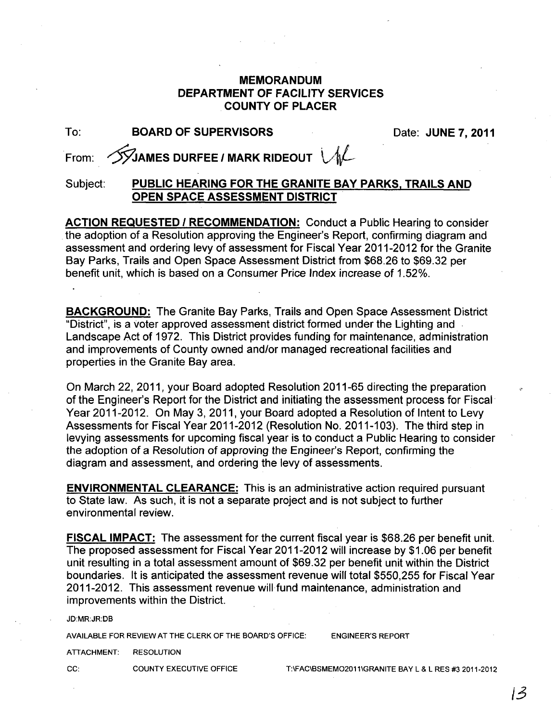## **MEMORANDUM DEPARTMENT OF FACILITY SERVICES COUNTY OF PLACER**

| To:      | <b>BOARD OF SUPERVISORS</b>                          | Date: JUNE 7, 2011 |
|----------|------------------------------------------------------|--------------------|
|          | From: SVJAMES DURFEE / MARK RIDEOUT VIL              |                    |
| Subject: | PUBLIC HEARING FOR THE GRANITE BAY PARKS, TRAILS AND |                    |

**OPEN SPACE ASSESSMENT DISTRICT** 

**ACTION REQUESTED I RECOMMENDATION:** Conduct a Public Hearing to consider the adoption of a Resolution approving the Engineer's Report, confirming diagram and assessment and ordering levy of assessment for Fiscal Year 2011-2012 for the Granite Bay Parks, Trails and Open Space Assessment District from \$68.26 to \$69.32 per benefit unit, which is based on a Consumer Price Index increase of 1.52%.

**BACKGROUND:** The Granite Bay Parks, Trails and Open Space Assessment District "District", is a voter approved assessment district formed under the Lighting and Landscape Act of 1972. This District provides funding for maintenance, administration and improvements of County owned and/or managed recreational facilities and properties in the Granite Bay area.

On March 22, 2011, your Board adopted Resolution 2011-65 directing the preparation of the Engineer's Report for the District and initiating the assessment process for Fiscal' Year 2011-2012. On May 3, 2011, your Board adopted a Resolution of Intent to Levy Assessments for Fiscal Year 2011-2012 (Resolution No. 2011-103). The third step in levying assessments for upcoming fiscal year is to conduct a Public Hearing to consider the adoption of a Resolution of approving the Engineer's Report, confirming the diagram and assessment, and ordering the levy of assessments.

**ENVIRONMENTAL CLEARANCE:** This is an administrative action required pursuant to State law. As such, it is not a separate project and is not subject to further environmental review.

**FISCAL IMPACT:** The assessment for the current fiscal year is \$68.26 per benefit unit. The proposed assessment for Fiscal Year 2011-2012 will increase by \$1.06 per benefit unit resulting in a total assessment amount of \$69.32 per benefit unit within the District boundaries. It is anticipated the assessment revenue will total \$550,255 for Fiscal Year 2011-2012. This assessment revenue will fund maintenance, administration and improvements within the District.

JD:MR:JR:DB

AVAILABLE FOR REVIEW AT THE CLERK OF THE BOARD'S OFFICE: ENGINEER'S REPORT

ATIACHMENT: RESOLUTION

CC: COUNTY EXECUTIVE OFFICE T:\FAC\BSMEMO2011\GRANITE BAY L & L RES #3 2011-2012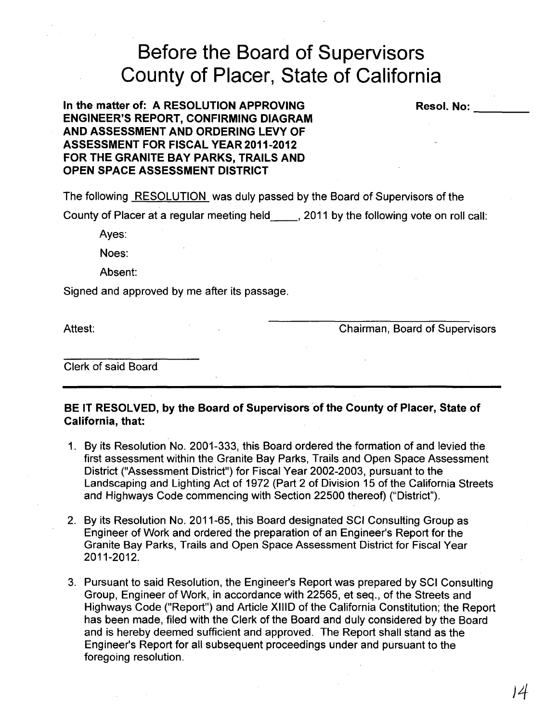## **Before the Board of Supervisors County of Placer, State of California**

**In the matter of: A RESOLUTION APPROVING ENGINEER'S REPORT, CONFIRMING DIAGRAM AND ASSESSMENT AND ORDERING LEVY OF ASSESSMENT FOR FISCAL YEAR 2011·2012 FOR THE GRANITE BAY PARKS, TRAILS AND OPEN SPACE ASSESSMENT DISTRICT** 

The following RESOLUTION was duly passed by the Board of Supervisors of the

County of Placer at a regular meeting held \_\_ , 2011 by the following vote on roll call:

Ayes:

Noes:

Absent:

Signed and approved by me after its passage.

Attest: Chairman, Board of Supervisors

**Resol. No:** \_\_\_ \_

Clerk of said Board

**BE IT RESOLVED, by the Board of** Supervisors of **the County of Placer, State of California, that:** 

- 1. By its Resolution No. 2001-333, this Board ordered the formation of and levied the first assessment within the Granite Bay Parks, Trails and Open Space Assessment District ("Assessment District") for Fiscal Year 2002-2003, pursuant to the Landscaping and Lighting Act of 1972 (Part 2 of Division 15 of the California Streets and Highways Code commencing with Section 22500 thereof) ("District").
- 2. By its Resolution No. 2011-65, this Board designated SCI Consulting Group as Engineer of Work and ordered the preparation of an Engineer's Report for the Granite Bay Parks, Trails and Open Space Assessment District for Fiscal Year 2011-2012.
- 3. Pursuant to said Resolution, the Engineer's Report was prepared by SCI Consulting Group, Engineer of Work, in accordance with 22565, et seq., of the Streets and Highways Code ("Report") and Article XIlID of the California Constitution; the Report has been made, filed with the Clerk of the Board and duly considered by the Board and is hereby deemed sufficient and approved. The Report shall stand as the Engineer's Report for all subsequent proceedings under and pursuant to the foregoing resolution.